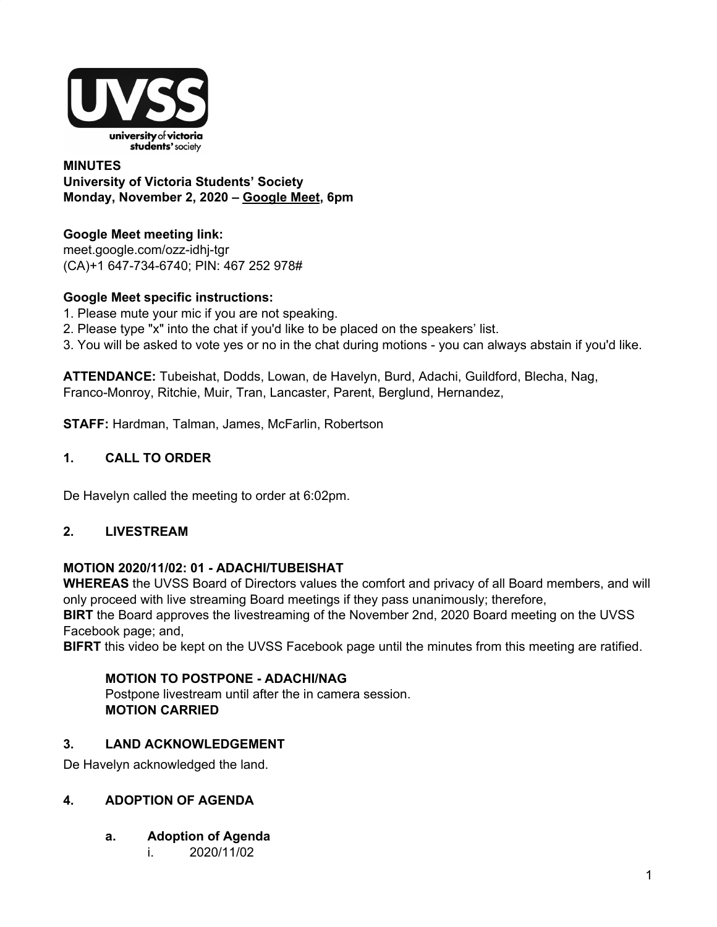

### **MINUTES University of Victoria Students' Society Monday, November 2, 2020 – [Google](http://meet.google.com/ozz-idhj-tgr) Meet, 6pm**

# **Google Meet meeting link[:](https://us02web.zoom.us/j/84726203931?pwd=bGNKTElKZEFIWkNvRlY2TFBqb3dQUT09)**

[meet.google.com/ozz-idhj-tgr](https://meet.google.com/ozz-idhj-tgr?hs=122&authuser=2) (CA)+1 647-734-6740; PIN: 467 252 978#

# **Google Meet specific instructions:**

- 1. Please mute your mic if you are not speaking.
- 2. Please type "x" into the chat if you'd like to be placed on the speakers' list.
- 3. You will be asked to vote yes or no in the chat during motions you can always abstain if you'd like.

**ATTENDANCE:** Tubeishat, Dodds, Lowan, de Havelyn, Burd, Adachi, Guildford, Blecha, Nag, Franco-Monroy, Ritchie, Muir, Tran, Lancaster, Parent, Berglund, Hernandez,

**STAFF:** Hardman, Talman, James, McFarlin, Robertson

# **1. CALL TO ORDER**

De Havelyn called the meeting to order at 6:02pm.

### **2. LIVESTREAM**

### **MOTION 2020/11/02: 01 - ADACHI/TUBEISHAT**

**WHEREAS** the UVSS Board of Directors values the comfort and privacy of all Board members, and will only proceed with live streaming Board meetings if they pass unanimously; therefore,

**BIRT** the Board approves the livestreaming of the November 2nd, 2020 Board meeting on the UVSS Facebook page; and,

**BIFRT** this video be kept on the UVSS Facebook page until the minutes from this meeting are ratified.

### **MOTION TO POSTPONE - ADACHI/NAG**

Postpone livestream until after the in camera session. **MOTION CARRIED**

## **3. LAND ACKNOWLEDGEMENT**

De Havelyn acknowledged the land.

### **4. ADOPTION OF AGENDA**

- **a. Adoption of Agenda**
	- i. 2020/11/02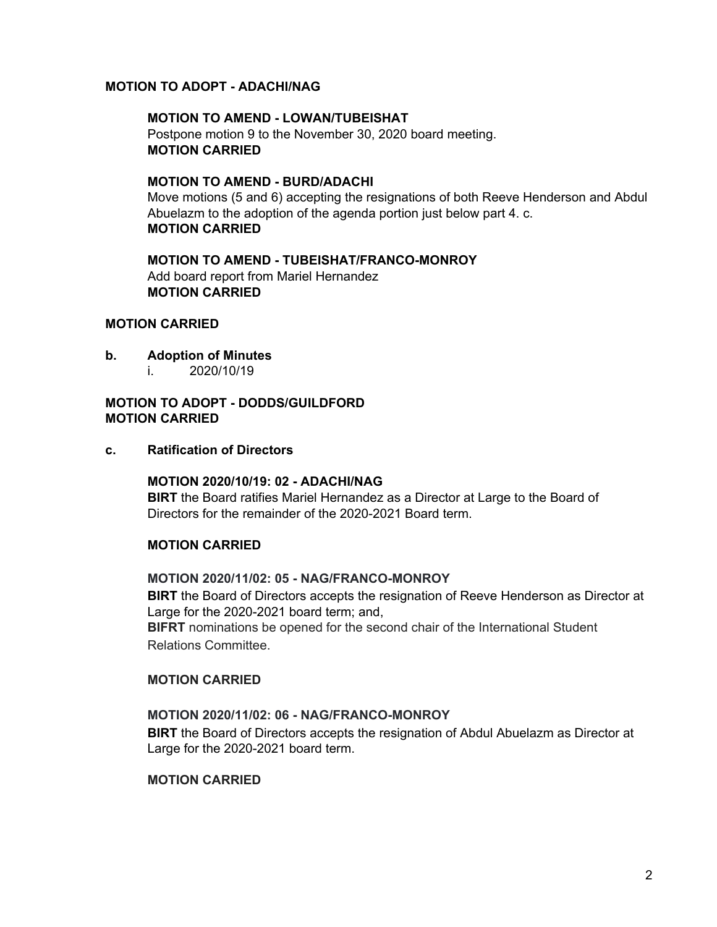### **MOTION TO ADOPT - ADACHI/NAG**

**MOTION TO AMEND - LOWAN/TUBEISHAT** Postpone motion 9 to the November 30, 2020 board meeting. **MOTION CARRIED**

**MOTION TO AMEND - BURD/ADACHI** Move motions (5 and 6) accepting the resignations of both Reeve Henderson and Abdul Abuelazm to the adoption of the agenda portion just below part 4. c. **MOTION CARRIED**

**MOTION TO AMEND - TUBEISHAT/FRANCO-MONROY** Add board report from Mariel Hernandez **MOTION CARRIED**

#### **MOTION CARRIED**

- **b. Adoption of Minutes**
	- i. 2020/10/19

### **MOTION TO ADOPT - DODDS/GUILDFORD MOTION CARRIED**

**c. Ratification of Directors**

**MOTION 2020/10/19: 02 - ADACHI/NAG BIRT** the Board ratifies Mariel Hernandez as a Director at Large to the Board of Directors for the remainder of the 2020-2021 Board term.

#### **MOTION CARRIED**

#### **MOTION 2020/11/02: 05 - NAG/FRANCO-MONROY**

**BIRT** the Board of Directors accepts the resignation of Reeve Henderson as Director at Large for the 2020-2021 board term; and,

**BIFRT** nominations be opened for the second chair of the International Student Relations Committee.

#### **MOTION CARRIED**

### **MOTION 2020/11/02: 06 - NAG/FRANCO-MONROY**

**BIRT** the Board of Directors accepts the resignation of Abdul Abuelazm as Director at Large for the 2020-2021 board term.

#### **MOTION CARRIED**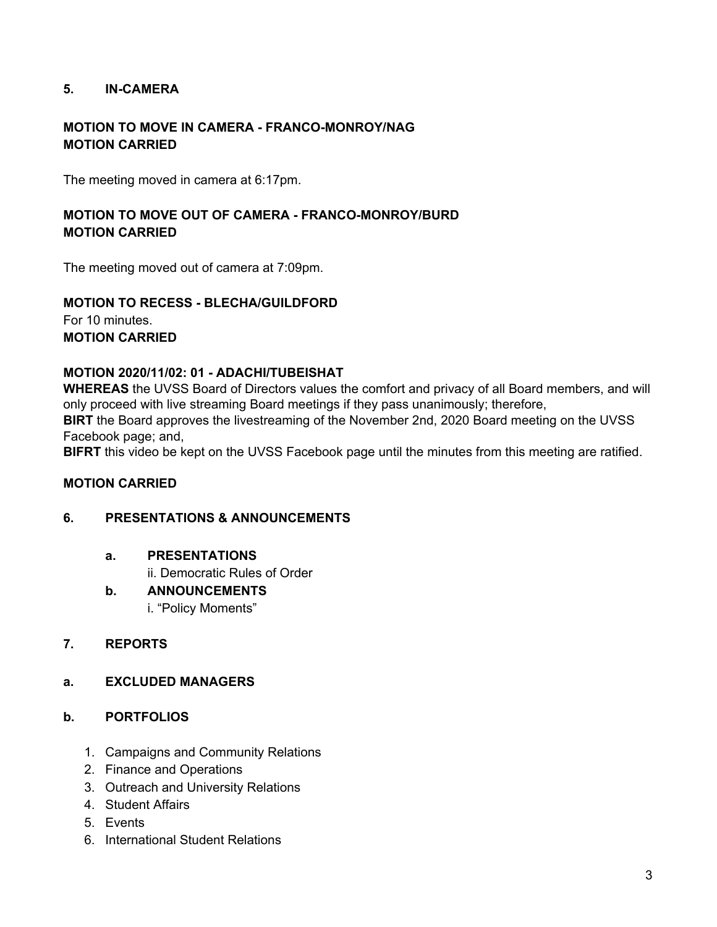### **5. IN-CAMERA**

## **MOTION TO MOVE IN CAMERA - FRANCO-MONROY/NAG MOTION CARRIED**

The meeting moved in camera at 6:17pm.

### **MOTION TO MOVE OUT OF CAMERA - FRANCO-MONROY/BURD MOTION CARRIED**

The meeting moved out of camera at 7:09pm.

### **MOTION TO RECESS - BLECHA/GUILDFORD** For 10 minutes. **MOTION CARRIED**

### **MOTION 2020/11/02: 01 - ADACHI/TUBEISHAT**

**WHEREAS** the UVSS Board of Directors values the comfort and privacy of all Board members, and will only proceed with live streaming Board meetings if they pass unanimously; therefore, **BIRT** the Board approves the livestreaming of the November 2nd, 2020 Board meeting on the UVSS

Facebook page; and,

**BIFRT** this video be kept on the UVSS Facebook page until the minutes from this meeting are ratified.

### **MOTION CARRIED**

### **6. PRESENTATIONS & ANNOUNCEMENTS**

**a. PRESENTATIONS**

ii. Democratic Rules of Order

#### **b. ANNOUNCEMENTS**

i. "Policy Moments"

### **7. REPORTS**

### **a. EXCLUDED MANAGERS**

### **b. PORTFOLIOS**

- 1. Campaigns and Community Relations
- 2. Finance and Operations
- 3. Outreach and University Relations
- 4. Student Affairs
- 5. Events
- 6. International Student Relations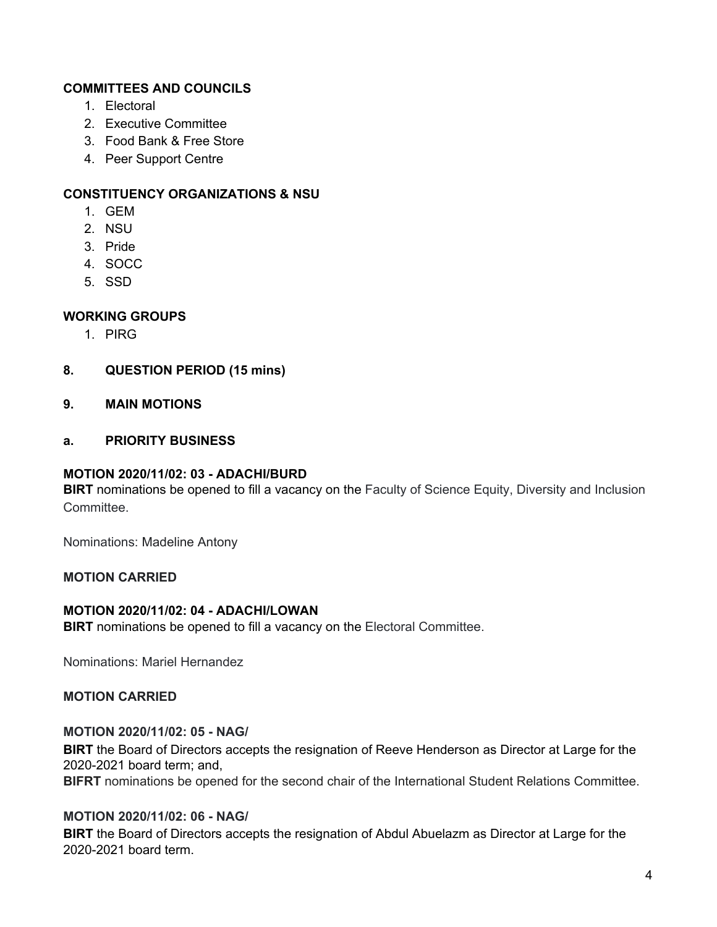### **COMMITTEES AND COUNCILS**

- 1. Electoral
- 2. Executive Committee
- 3. Food Bank & Free Store
- 4. Peer Support Centre

### **CONSTITUENCY ORGANIZATIONS & NSU**

- 1. GEM
- 2. NSU
- 3. Pride
- 4. SOCC
- 5. SSD

### **WORKING GROUPS**

- 1. PIRG
- **8. QUESTION PERIOD (15 mins)**
- **9. MAIN MOTIONS**

#### **a. PRIORITY BUSINESS**

#### **MOTION 2020/11/02: 03 - ADACHI/BURD**

**BIRT** nominations be opened to fill a vacancy on the Faculty of Science Equity, Diversity and Inclusion Committee.

Nominations: Madeline Antony

### **MOTION CARRIED**

#### **MOTION 2020/11/02: 04 - ADACHI/LOWAN**

**BIRT** nominations be opened to fill a vacancy on the Electoral Committee.

Nominations: Mariel Hernandez

### **MOTION CARRIED**

#### **MOTION 2020/11/02: 05 - NAG/**

**BIRT** the Board of Directors accepts the resignation of Reeve Henderson as Director at Large for the 2020-2021 board term; and,

**BIFRT** nominations be opened for the second chair of the International Student Relations Committee.

#### **MOTION 2020/11/02: 06 - NAG/**

**BIRT** the Board of Directors accepts the resignation of Abdul Abuelazm as Director at Large for the 2020-2021 board term.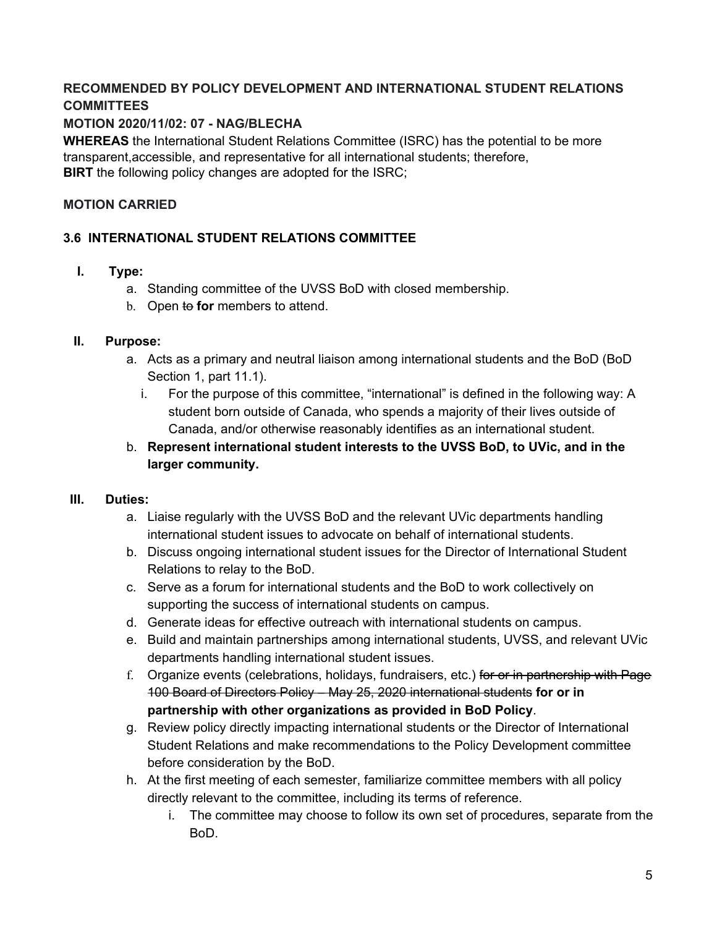# **RECOMMENDED BY POLICY DEVELOPMENT AND INTERNATIONAL STUDENT RELATIONS COMMITTEES**

# **MOTION 2020/11/02: 07 - NAG/BLECHA**

**WHEREAS** the International Student Relations Committee (ISRC) has the potential to be more transparent,accessible, and representative for all international students; therefore, **BIRT** the following policy changes are adopted for the ISRC;

## **MOTION CARRIED**

# **3.6 INTERNATIONAL STUDENT RELATIONS COMMITTEE**

- **I. Type:**
	- a. Standing committee of the UVSS BoD with closed membership.
	- b. Open to **for** members to attend.

### **II. Purpose:**

- a. Acts as a primary and neutral liaison among international students and the BoD (BoD Section 1, part 11.1).
	- i. For the purpose of this committee, "international" is defined in the following way: A student born outside of Canada, who spends a majority of their lives outside of Canada, and/or otherwise reasonably identifies as an international student.
- b. **Represent international student interests to the UVSS BoD, to UVic, and in the larger community.**

### **III. Duties:**

- a. Liaise regularly with the UVSS BoD and the relevant UVic departments handling international student issues to advocate on behalf of international students.
- b. Discuss ongoing international student issues for the Director of International Student Relations to relay to the BoD.
- c. Serve as a forum for international students and the BoD to work collectively on supporting the success of international students on campus.
- d. Generate ideas for effective outreach with international students on campus.
- e. Build and maintain partnerships among international students, UVSS, and relevant UVic departments handling international student issues.
- f. Organize events (celebrations, holidays, fundraisers, etc.) for or in partnership with Page 100 Board of Directors Policy – May 25, 2020 international students **for or in partnership with other organizations as provided in BoD Policy**.
- g. Review policy directly impacting international students or the Director of International Student Relations and make recommendations to the Policy Development committee before consideration by the BoD.
- h. At the first meeting of each semester, familiarize committee members with all policy directly relevant to the committee, including its terms of reference.
	- i. The committee may choose to follow its own set of procedures, separate from the BoD.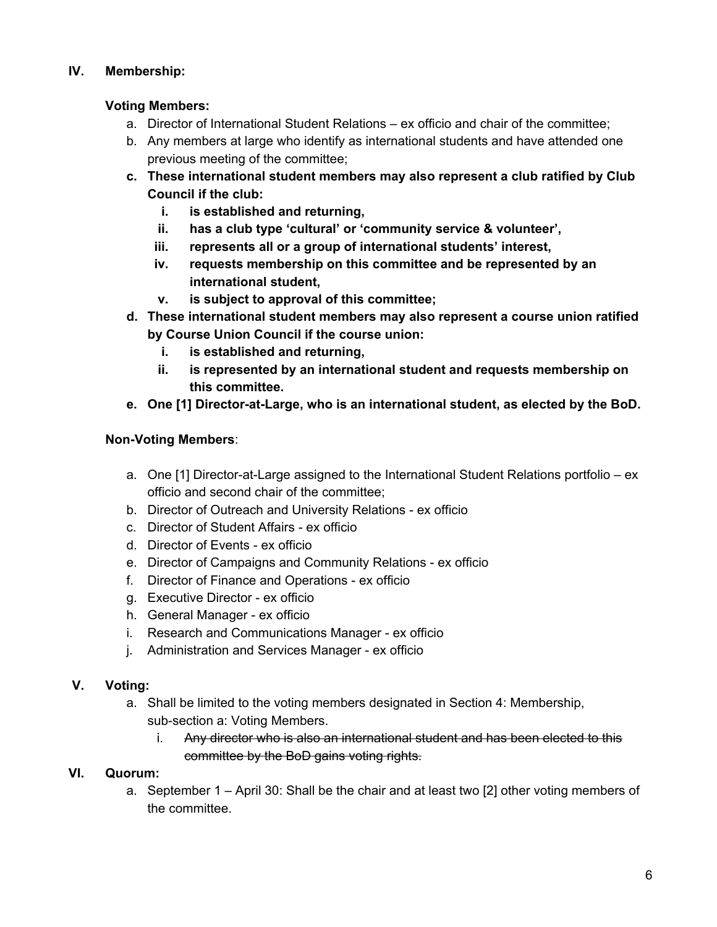# **IV. Membership:**

## **Voting Members:**

- a. Director of International Student Relations ex officio and chair of the committee;
- b. Any members at large who identify as international students and have attended one previous meeting of the committee;
- **c. These international student members may also represent a club ratified by Club Council if the club:**
	- **i. is established and returning,**
	- **ii. has a club type 'cultural' or 'community service & volunteer',**
	- **iii. represents all or a group of international students' interest,**
	- **iv. requests membership on this committee and be represented by an international student,**
	- **v. is subject to approval of this committee;**
- **d. These international student members may also represent a course union ratified by Course Union Council if the course union:**
	- **i. is established and returning,**
	- **ii. is represented by an international student and requests membership on this committee.**
- **e. One [1] Director-at-Large, who is an international student, as elected by the BoD.**

# **Non-Voting Members**:

- a. One [1] Director-at-Large assigned to the International Student Relations portfolio ex officio and second chair of the committee;
- b. Director of Outreach and University Relations ex officio
- c. Director of Student Affairs ex officio
- d. Director of Events ex officio
- e. Director of Campaigns and Community Relations ex officio
- f. Director of Finance and Operations ex officio
- g. Executive Director ex officio
- h. General Manager ex officio
- i. Research and Communications Manager ex officio
- j. Administration and Services Manager ex officio

### **V. Voting:**

- a. Shall be limited to the voting members designated in Section 4: Membership, sub-section a: Voting Members.
	- i. Any director who is also an international student and has been elected to this committee by the BoD gains voting rights.

# **VI. Quorum:**

a. September 1 – April 30: Shall be the chair and at least two [2] other voting members of the committee.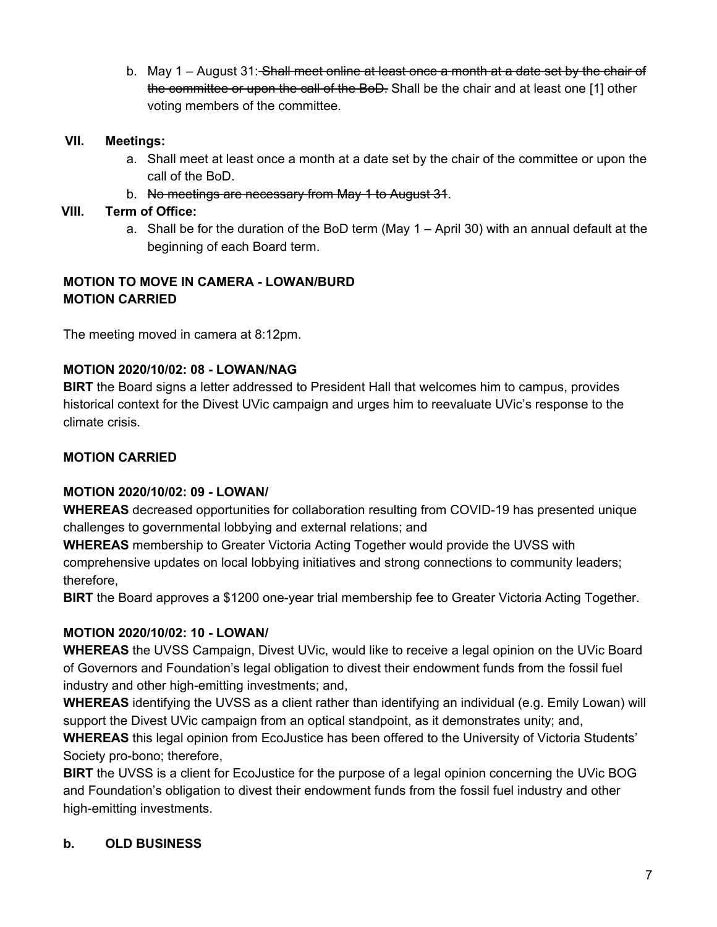b. May 1 – August 31: Shall meet online at least once a month at a date set by the chair of the committee or upon the call of the BoD. Shall be the chair and at least one [1] other voting members of the committee.

## **VII. Meetings:**

- a. Shall meet at least once a month at a date set by the chair of the committee or upon the call of the BoD.
- b. No meetings are necessary from May 1 to August 31.

# **VIII. Term of Office:**

a. Shall be for the duration of the BoD term (May 1 – April 30) with an annual default at the beginning of each Board term.

# **MOTION TO MOVE IN CAMERA - LOWAN/BURD MOTION CARRIED**

The meeting moved in camera at 8:12pm.

### **MOTION 2020/10/02: 08 - LOWAN/NAG**

**BIRT** the Board signs a letter addressed to President Hall that welcomes him to campus, provides historical context for the Divest UVic campaign and urges him to reevaluate UVic's response to the climate crisis.

# **MOTION CARRIED**

### **MOTION 2020/10/02: 09 - LOWAN/**

**WHEREAS** decreased opportunities for collaboration resulting from COVID-19 has presented unique challenges to governmental lobbying and external relations; and

**WHEREAS** membership to Greater Victoria Acting Together would provide the UVSS with comprehensive updates on local lobbying initiatives and strong connections to community leaders; therefore,

**BIRT** the Board approves a \$1200 one-year trial membership fee to Greater Victoria Acting Together.

### **MOTION 2020/10/02: 10 - LOWAN/**

**WHEREAS** the UVSS Campaign, Divest UVic, would like to receive a legal opinion on the UVic Board of Governors and Foundation's legal obligation to divest their endowment funds from the fossil fuel industry and other high-emitting investments; and,

**WHEREAS** identifying the UVSS as a client rather than identifying an individual (e.g. Emily Lowan) will support the Divest UVic campaign from an optical standpoint, as it demonstrates unity; and,

**WHEREAS** this legal opinion from EcoJustice has been offered to the University of Victoria Students' Society pro-bono; therefore,

**BIRT** the UVSS is a client for EcoJustice for the purpose of a legal opinion concerning the UVic BOG and Foundation's obligation to divest their endowment funds from the fossil fuel industry and other high-emitting investments.

# **b. OLD BUSINESS**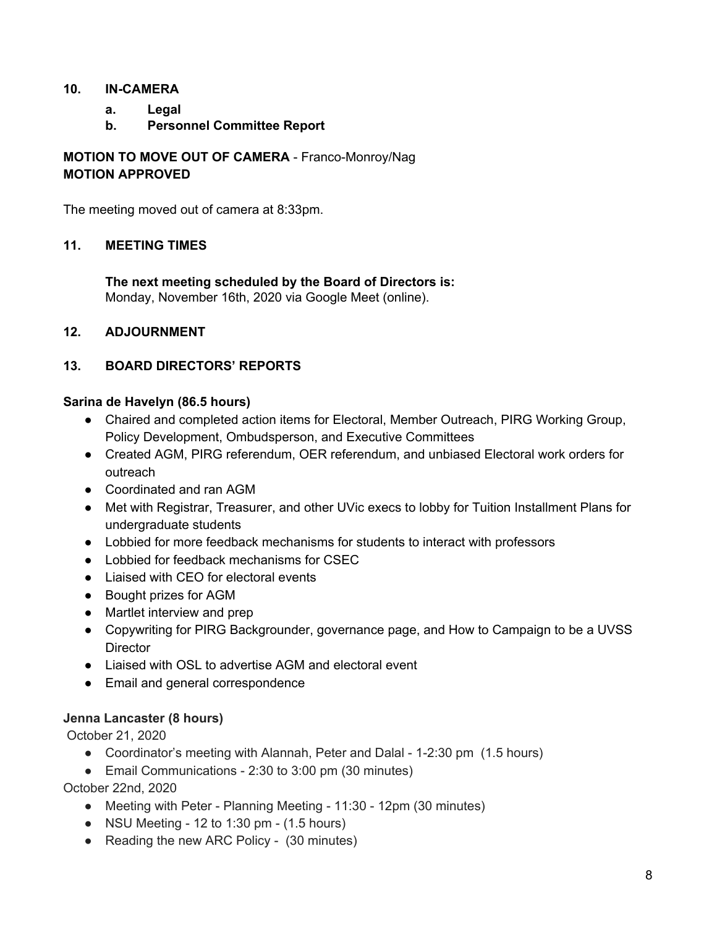### **10. IN-CAMERA**

- **a. Legal**
- **b. Personnel Committee Report**

**MOTION TO MOVE OUT OF CAMERA** - Franco-Monroy/Nag **MOTION APPROVED**

The meeting moved out of camera at 8:33pm.

### **11. MEETING TIMES**

**The next meeting scheduled by the Board of Directors is:** Monday, November 16th, 2020 via Google Meet (online).

#### **12. ADJOURNMENT**

### **13. BOARD DIRECTORS' REPORTS**

#### **Sarina de Havelyn (86.5 hours)**

- Chaired and completed action items for Electoral, Member Outreach, PIRG Working Group, Policy Development, Ombudsperson, and Executive Committees
- Created AGM, PIRG referendum, OER referendum, and unbiased Electoral work orders for outreach
- Coordinated and ran AGM
- Met with Registrar, Treasurer, and other UVic execs to lobby for Tuition Installment Plans for undergraduate students
- Lobbied for more feedback mechanisms for students to interact with professors
- Lobbied for feedback mechanisms for CSEC
- Liaised with CEO for electoral events
- Bought prizes for AGM
- Martlet interview and prep
- Copywriting for PIRG Backgrounder, governance page, and How to Campaign to be a UVSS **Director**
- Liaised with OSL to advertise AGM and electoral event
- Email and general correspondence

### **Jenna Lancaster (8 hours)**

October 21, 2020

- Coordinator's meeting with Alannah, Peter and Dalal 1-2:30 pm (1.5 hours)
- Email Communications 2:30 to 3:00 pm (30 minutes)

October 22nd, 2020

- Meeting with Peter Planning Meeting 11:30 12pm (30 minutes)
- $\bullet$  NSU Meeting 12 to 1:30 pm (1.5 hours)
- Reading the new ARC Policy (30 minutes)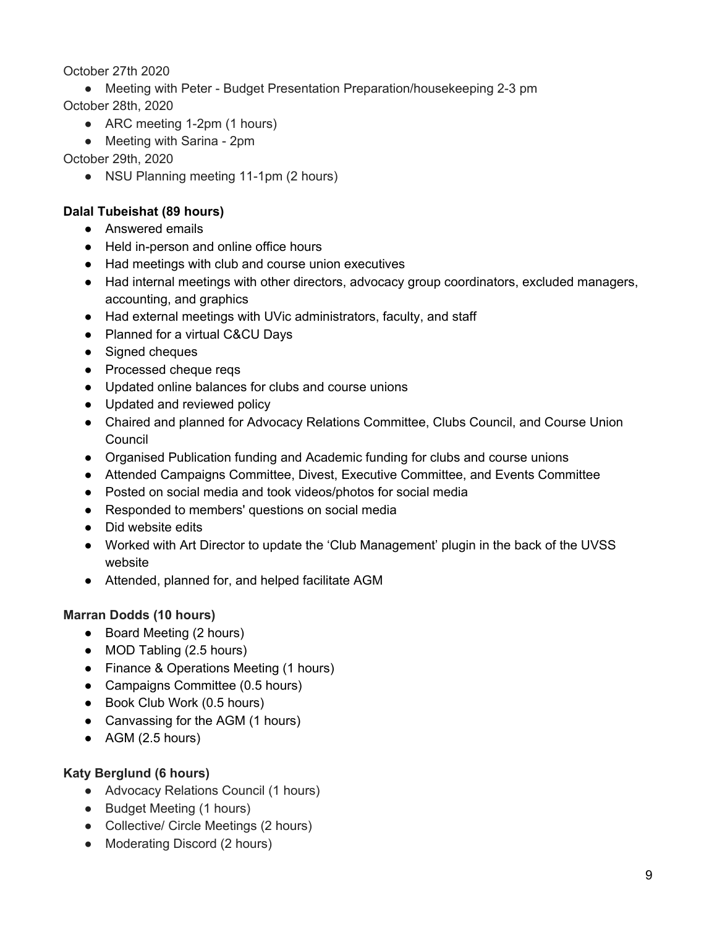## October 27th 2020

- Meeting with Peter Budget Presentation Preparation/housekeeping 2-3 pm October 28th, 2020
	- ARC meeting 1-2pm (1 hours)
	- Meeting with Sarina 2pm

# October 29th, 2020

• NSU Planning meeting 11-1pm (2 hours)

# **Dalal Tubeishat (89 hours)**

- Answered emails
- Held in-person and online office hours
- Had meetings with club and course union executives
- Had internal meetings with other directors, advocacy group coordinators, excluded managers, accounting, and graphics
- Had external meetings with UVic administrators, faculty, and staff
- Planned for a virtual C&CU Days
- Signed cheques
- Processed cheque reqs
- Updated online balances for clubs and course unions
- Updated and reviewed policy
- Chaired and planned for Advocacy Relations Committee, Clubs Council, and Course Union Council
- Organised Publication funding and Academic funding for clubs and course unions
- Attended Campaigns Committee, Divest, Executive Committee, and Events Committee
- Posted on social media and took videos/photos for social media
- Responded to members' questions on social media
- Did website edits
- Worked with Art Director to update the 'Club Management' plugin in the back of the UVSS website
- Attended, planned for, and helped facilitate AGM

# **Marran Dodds (10 hours)**

- Board Meeting (2 hours)
- MOD Tabling (2.5 hours)
- Finance & Operations Meeting (1 hours)
- Campaigns Committee (0.5 hours)
- Book Club Work (0.5 hours)
- Canvassing for the AGM (1 hours)
- $\bullet$  AGM (2.5 hours)

# **Katy Berglund (6 hours)**

- Advocacy Relations Council (1 hours)
- Budget Meeting (1 hours)
- Collective/ Circle Meetings (2 hours)
- Moderating Discord (2 hours)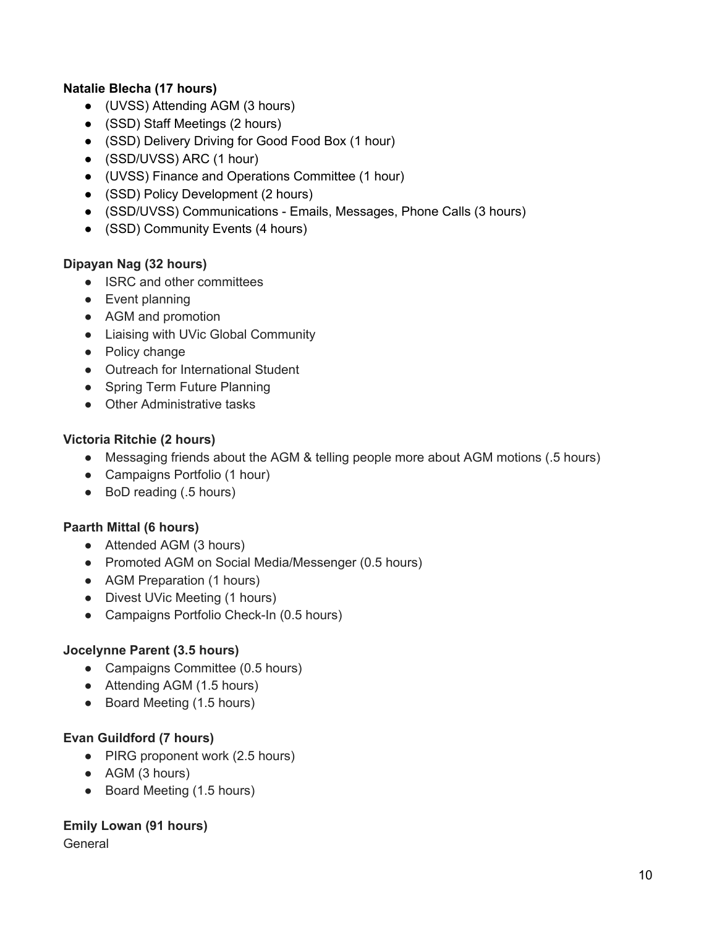## **Natalie Blecha (17 hours)**

- (UVSS) Attending AGM (3 hours)
- (SSD) Staff Meetings (2 hours)
- (SSD) Delivery Driving for Good Food Box (1 hour)
- (SSD/UVSS) ARC (1 hour)
- (UVSS) Finance and Operations Committee (1 hour)
- (SSD) Policy Development (2 hours)
- (SSD/UVSS) Communications Emails, Messages, Phone Calls (3 hours)
- (SSD) Community Events (4 hours)

### **Dipayan Nag (32 hours)**

- ISRC and other committees
- Event planning
- AGM and promotion
- Liaising with UVic Global Community
- Policy change
- Outreach for International Student
- Spring Term Future Planning
- Other Administrative tasks

# **Victoria Ritchie (2 hours)**

- Messaging friends about the AGM & telling people more about AGM motions (.5 hours)
- Campaigns Portfolio (1 hour)
- BoD reading (.5 hours)

### **Paarth Mittal (6 hours)**

- Attended AGM (3 hours)
- Promoted AGM on Social Media/Messenger (0.5 hours)
- AGM Preparation (1 hours)
- Divest UVic Meeting (1 hours)
- Campaigns Portfolio Check-In (0.5 hours)

# **Jocelynne Parent (3.5 hours)**

- Campaigns Committee (0.5 hours)
- Attending AGM (1.5 hours)
- Board Meeting (1.5 hours)

### **Evan Guildford (7 hours)**

- PIRG proponent work (2.5 hours)
- AGM (3 hours)
- Board Meeting (1.5 hours)

### **Emily Lowan (91 hours)**

General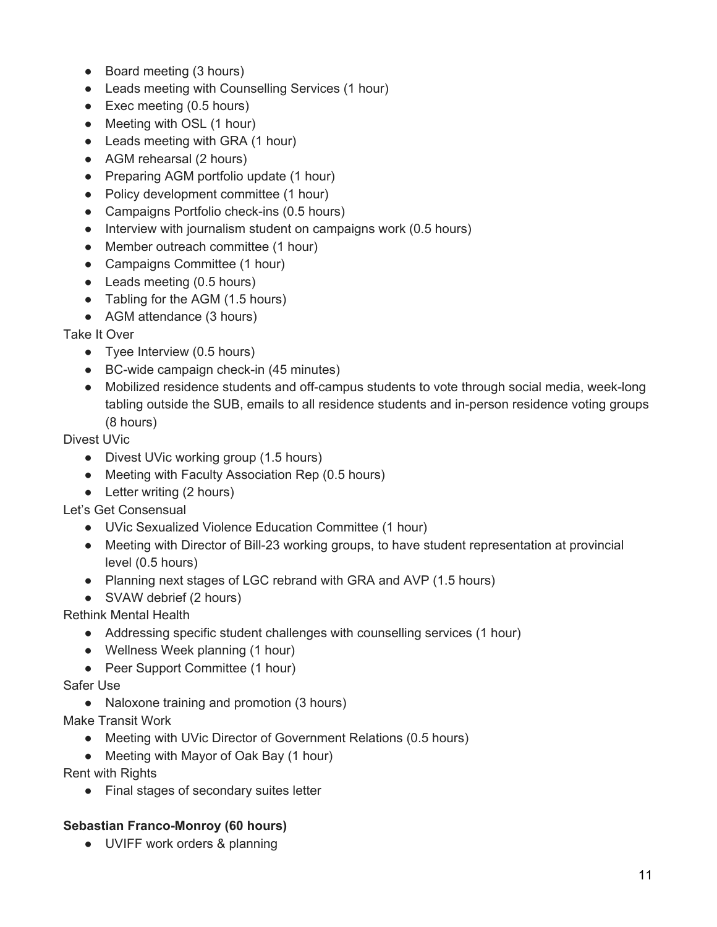- Board meeting (3 hours)
- Leads meeting with Counselling Services (1 hour)
- Exec meeting (0.5 hours)
- Meeting with OSL (1 hour)
- Leads meeting with GRA (1 hour)
- AGM rehearsal (2 hours)
- Preparing AGM portfolio update (1 hour)
- Policy development committee (1 hour)
- Campaigns Portfolio check-ins (0.5 hours)
- Interview with journalism student on campaigns work (0.5 hours)
- Member outreach committee (1 hour)
- Campaigns Committee (1 hour)
- Leads meeting (0.5 hours)
- Tabling for the AGM (1.5 hours)
- AGM attendance (3 hours)

Take It Over

- Tyee Interview (0.5 hours)
- BC-wide campaign check-in (45 minutes)
- Mobilized residence students and off-campus students to vote through social media, week-long tabling outside the SUB, emails to all residence students and in-person residence voting groups (8 hours)

Divest UVic

- Divest UVic working group (1.5 hours)
- Meeting with Faculty Association Rep (0.5 hours)
- Letter writing (2 hours)

Let's Get Consensual

- UVic Sexualized Violence Education Committee (1 hour)
- Meeting with Director of Bill-23 working groups, to have student representation at provincial level (0.5 hours)
- Planning next stages of LGC rebrand with GRA and AVP (1.5 hours)
- SVAW debrief (2 hours)

Rethink Mental Health

- Addressing specific student challenges with counselling services (1 hour)
- Wellness Week planning (1 hour)
- Peer Support Committee (1 hour)

Safer Use

● Naloxone training and promotion (3 hours)

Make Transit Work

- Meeting with UVic Director of Government Relations (0.5 hours)
- Meeting with Mayor of Oak Bay (1 hour)

Rent with Rights

● Final stages of secondary suites letter

### **Sebastian Franco-Monroy (60 hours)**

● UVIFF work orders & planning